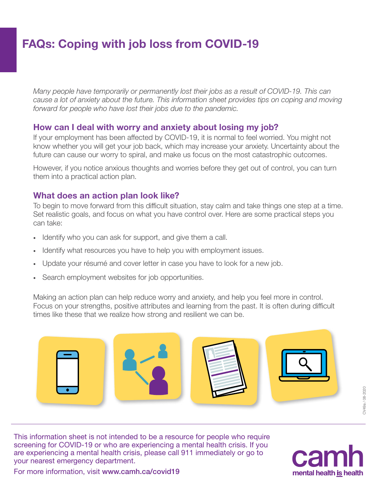# FAQs: Coping with job loss from COVID-19

*Many people have temporarily or permanently lost their jobs as a result of COVID-19. This can cause a lot of anxiety about the future. This information sheet provides tips on coping and moving forward for people who have lost their jobs due to the pandemic.*

#### How can I deal with worry and anxiety about losing my job?

If your employment has been affected by COVID-19, it is normal to feel worried. You might not know whether you will get your job back, which may increase your anxiety. Uncertainty about the future can cause our worry to spiral, and make us focus on the most catastrophic outcomes.

However, if you notice anxious thoughts and worries before they get out of control, you can turn them into a practical action plan.

#### What does an action plan look like?

To begin to move forward from this difficult situation, stay calm and take things one step at a time. Set realistic goals, and focus on what you have control over. Here are some practical steps you can take:

- Identify who you can ask for support, and give them a call.
- Identify what resources you have to help you with employment issues.
- · Update your résumé and cover letter in case you have to look for a new job.
- · Search employment websites for job opportunities.

Making an action plan can help reduce worry and anxiety, and help you feel more in control. Focus on your strengths, positive attributes and learning from the past. It is often during difficult times like these that we realize how strong and resilient we can be.



CV49a / 08-2020 CV49a / 08-2020

This information sheet is not intended to be a resource for people who require screening for COVID-19 or who are experiencing a mental health crisis. If you are experiencing a mental health crisis, please call 911 immediately or go to your nearest emergency department.



For more information, visit [www.camh.ca/covid19](http://www.camh.ca/covid19)